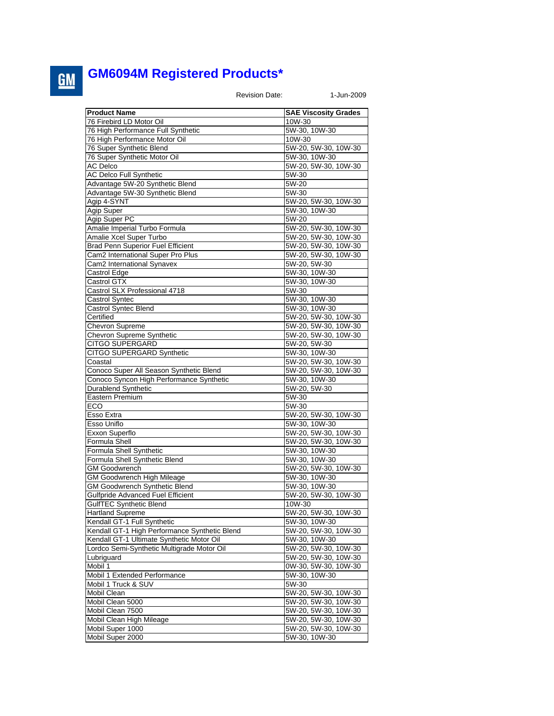## **GM6094M Registered Products\***

Revision Date: 1-Jun-2009

| <b>Product Name</b>                                   | <b>SAE Viscosity Grades</b>           |
|-------------------------------------------------------|---------------------------------------|
| 76 Firebird LD Motor Oil                              | 10W-30                                |
| 76 High Performance Full Synthetic                    | 5W-30, 10W-30                         |
| 76 High Performance Motor Oil                         | 10W-30                                |
| 76 Super Synthetic Blend                              | 5W-20, 5W-30, 10W-30                  |
| 76 Super Synthetic Motor Oil                          | 5W-30, 10W-30                         |
| <b>AC Delco</b>                                       | 5W-20, 5W-30, 10W-30                  |
|                                                       |                                       |
| <b>AC Delco Full Synthetic</b>                        | 5W-30                                 |
| Advantage 5W-20 Synthetic Blend                       | 5W-20                                 |
| Advantage 5W-30 Synthetic Blend                       | 5W-30                                 |
| Agip 4-SYNT                                           | 5W-20, 5W-30, 10W-30                  |
| Agip Super                                            | 5W-30, 10W-30                         |
| Agip Super PC                                         | 5W-20                                 |
| Amalie Imperial Turbo Formula                         | 5W-20, 5W-30, 10W-30                  |
| Amalie Xcel Super Turbo                               | 5W-20, 5W-30, 10W-30                  |
| <b>Brad Penn Superior Fuel Efficient</b>              | 5W-20, 5W-30, 10W-30                  |
| Cam2 International Super Pro Plus                     | 5W-20, 5W-30, 10W-30                  |
| Cam2 International Synavex                            | 5W-20, 5W-30                          |
| Castrol Edge                                          | 5W-30, 10W-30                         |
| Castrol GTX                                           | 5W-30, 10W-30                         |
| Castrol SLX Professional 4718                         | 5W-30                                 |
| Castrol Syntec                                        | 5W-30, 10W-30                         |
| Castrol Syntec Blend                                  | 5W-30, 10W-30                         |
| Certified                                             | 5W-20, 5W-30, 10W-30                  |
| <b>Chevron Supreme</b>                                | 5W-20, 5W-30, 10W-30                  |
| Chevron Supreme Synthetic                             | 5W-20, 5W-30, 10W-30                  |
| CITGO SUPERGARD                                       | 5W-20, 5W-30                          |
| CITGO SUPERGARD Synthetic                             | 5W-30, 10W-30                         |
| Coastal                                               | 5W-20, 5W-30, 10W-30                  |
| Conoco Super All Season Synthetic Blend               | 5W-20, 5W-30, 10W-30                  |
| Conoco Syncon High Performance Synthetic              | 5W-30, 10W-30                         |
| <b>Durablend Synthetic</b>                            | 5W-20, 5W-30                          |
| Eastern Premium                                       | 5W-30                                 |
| ECO                                                   | 5W-30                                 |
| Esso Extra                                            | 5W-20, 5W-30, 10W-30                  |
| Esso Uniflo                                           | 5W-30, 10W-30                         |
| Exxon Superflo                                        | 5W-20, 5W-30, 10W-30                  |
| Formula Shell                                         |                                       |
|                                                       | 5W-20, 5W-30, 10W-30<br>5W-30, 10W-30 |
| Formula Shell Synthetic                               |                                       |
| Formula Shell Synthetic Blend<br><b>GM Goodwrench</b> | 5W-30, 10W-30                         |
|                                                       | 5W-20, 5W-30, 10W-30                  |
| <b>GM Goodwrench High Mileage</b>                     | 5W-30, 10W-30                         |
| <b>GM Goodwrench Synthetic Blend</b>                  | 5W-30, 10W-30                         |
| Gulfpride Advanced Fuel Efficient                     | 5W-20, 5W-30, 10W-30                  |
| <b>GulfTEC Synthetic Blend</b>                        | 10W-30                                |
| Hartland Supreme                                      | 5W-20, 5W-30, 10W-30                  |
| Kendall GT-1 Full Synthetic                           | 5W-30, 10W-30                         |
| Kendall GT-1 High Performance Synthetic Blend         | 5W-20, 5W-30, 10W-30                  |
| Kendall GT-1 Ultimate Synthetic Motor Oil             | 5W-30, 10W-30                         |
| Lordco Semi-Synthetic Multigrade Motor Oil            | 5W-20, 5W-30, 10W-30                  |
| Lubriguard                                            | 5W-20, 5W-30, 10W-30                  |
| Mobil 1                                               | 0W-30, 5W-30, 10W-30                  |
| Mobil 1 Extended Performance                          | 5W-30, 10W-30                         |
| Mobil 1 Truck & SUV                                   | 5W-30                                 |
| Mobil Clean                                           | 5W-20, 5W-30, 10W-30                  |
| Mobil Clean 5000                                      | 5W-20, 5W-30, 10W-30                  |
| Mobil Clean 7500                                      | 5W-20, 5W-30, 10W-30                  |
| Mobil Clean High Mileage                              | 5W-20, 5W-30, 10W-30                  |
| Mobil Super 1000                                      | 5W-20, 5W-30, 10W-30                  |
| Mobil Super 2000                                      | 5W-30, 10W-30                         |

 $\underline{\mathbf{GM}}$